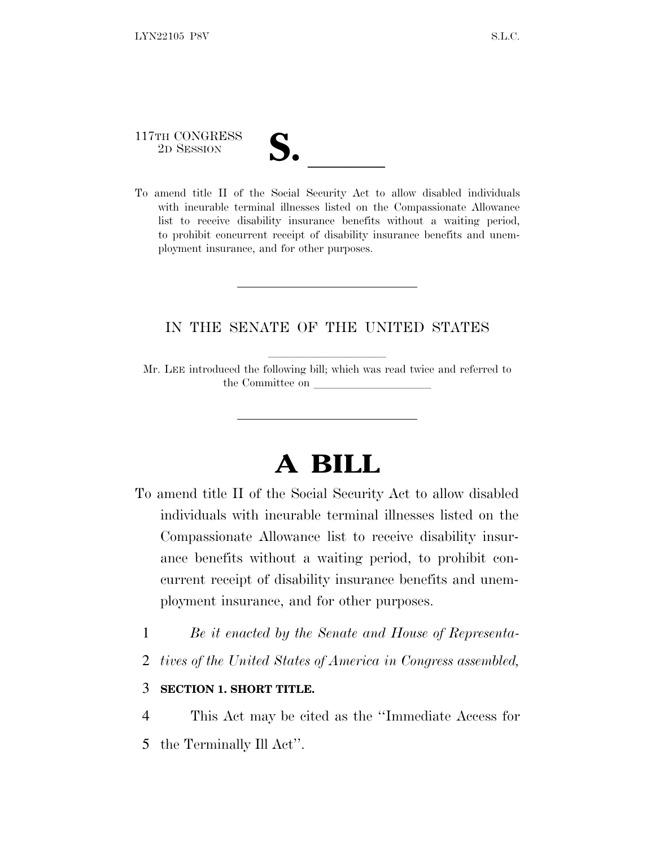117TH CONGRESS

117TH CONGRESS<br>
2D SESSION<br>
To amend title II of the Social Security Act to allow disabled individuals with incurable terminal illnesses listed on the Compassionate Allowance list to receive disability insurance benefits without a waiting period, to prohibit concurrent receipt of disability insurance benefits and unemployment insurance, and for other purposes.

## IN THE SENATE OF THE UNITED STATES

Mr. LEE introduced the following bill; which was read twice and referred to the Committee on

## **A BILL**

- To amend title II of the Social Security Act to allow disabled individuals with incurable terminal illnesses listed on the Compassionate Allowance list to receive disability insurance benefits without a waiting period, to prohibit concurrent receipt of disability insurance benefits and unemployment insurance, and for other purposes.
	- 1 *Be it enacted by the Senate and House of Representa-*
	- 2 *tives of the United States of America in Congress assembled,*

## 3 **SECTION 1. SHORT TITLE.**

- 4 This Act may be cited as the ''Immediate Access for
- 5 the Terminally Ill Act''.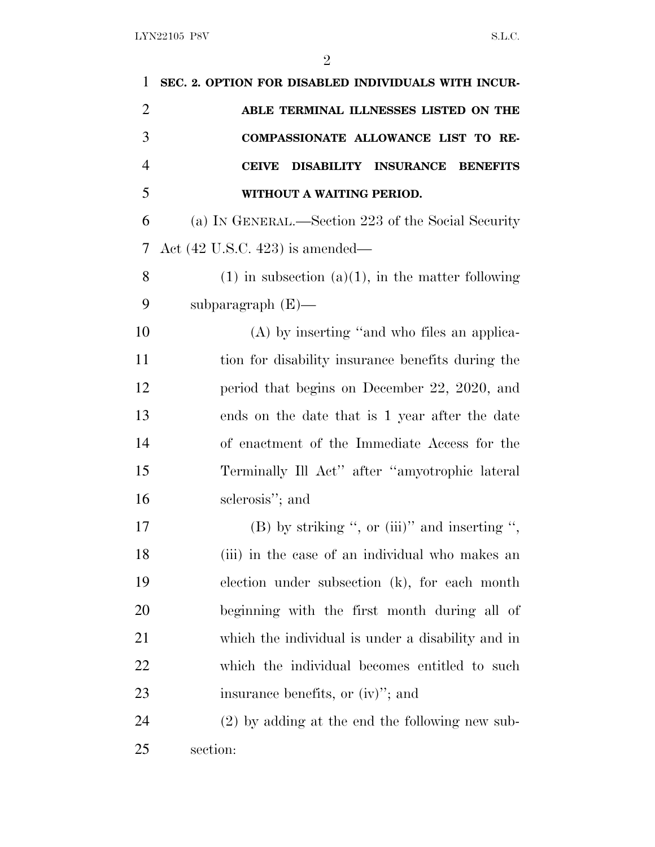| 1              | SEC. 2. OPTION FOR DISABLED INDIVIDUALS WITH INCUR-                      |
|----------------|--------------------------------------------------------------------------|
| $\overline{2}$ | ABLE TERMINAL ILLNESSES LISTED ON THE                                    |
| 3              | COMPASSIONATE ALLOWANCE LIST TO RE-                                      |
| $\overline{4}$ | <b>INSURANCE</b><br><b>CEIVE</b><br><b>DISABILITY</b><br><b>BENEFITS</b> |
| 5              | WITHOUT A WAITING PERIOD.                                                |
| 6              | (a) IN GENERAL.—Section 223 of the Social Security                       |
| 7              | Act $(42 \text{ U.S.C. } 423)$ is amended—                               |
| 8              | $(1)$ in subsection $(a)(1)$ , in the matter following                   |
| 9              | subparagraph $(E)$ —                                                     |
| 10             | (A) by inserting "and who files an applica-                              |
| 11             | tion for disability insurance benefits during the                        |
| 12             | period that begins on December 22, 2020, and                             |
| 13             | ends on the date that is 1 year after the date                           |
| 14             | of enactment of the Immediate Access for the                             |
| 15             | Terminally Ill Act" after "amyotrophic lateral                           |
| 16             | sclerosis"; and                                                          |
| 17             | (B) by striking ", or (iii)" and inserting ",                            |
| 18             | (iii) in the case of an individual who makes an                          |
| 19             | election under subsection (k), for each month                            |
| 20             | beginning with the first month during all of                             |
| 21             | which the individual is under a disability and in                        |
| 22             | which the individual becomes entitled to such                            |
| 23             | insurance benefits, or (iv)"; and                                        |
| 24             | $(2)$ by adding at the end the following new sub-                        |
| 25             | section:                                                                 |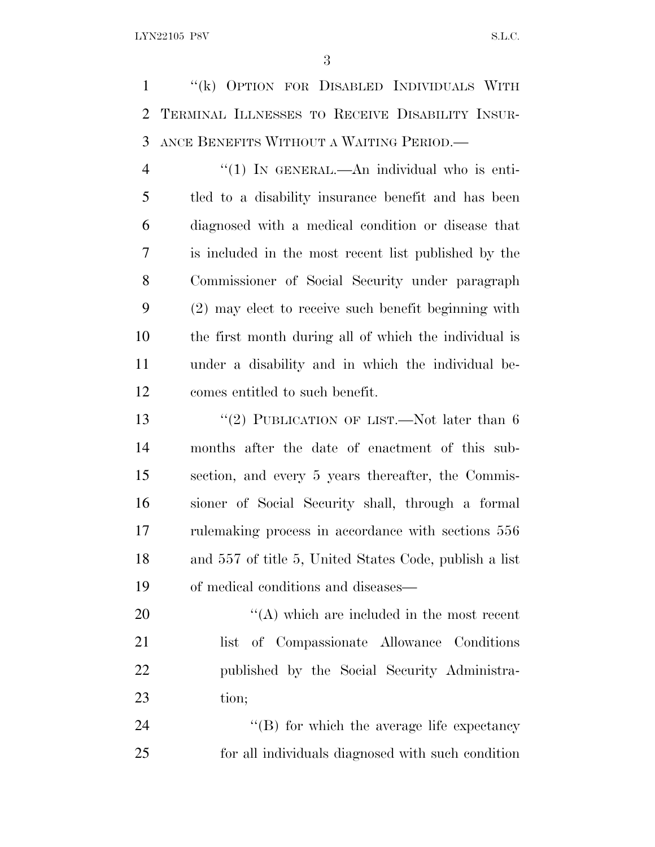''(k) OPTION FOR DISABLED INDIVIDUALS WITH TERMINAL ILLNESSES TO RECEIVE DISABILITY INSUR-ANCE BENEFITS WITHOUT A WAITING PERIOD.—

4 "(1) IN GENERAL.—An individual who is enti- tled to a disability insurance benefit and has been diagnosed with a medical condition or disease that is included in the most recent list published by the Commissioner of Social Security under paragraph (2) may elect to receive such benefit beginning with the first month during all of which the individual is under a disability and in which the individual be-comes entitled to such benefit.

13 "(2) PUBLICATION OF LIST.—Not later than 6 months after the date of enactment of this sub- section, and every 5 years thereafter, the Commis- sioner of Social Security shall, through a formal rulemaking process in accordance with sections 556 and 557 of title 5, United States Code, publish a list of medical conditions and diseases—

 $\langle (A) \rangle$  which are included in the most recent list of Compassionate Allowance Conditions published by the Social Security Administra-tion;

24  $\text{``(B)}$  for which the average life expectancy for all individuals diagnosed with such condition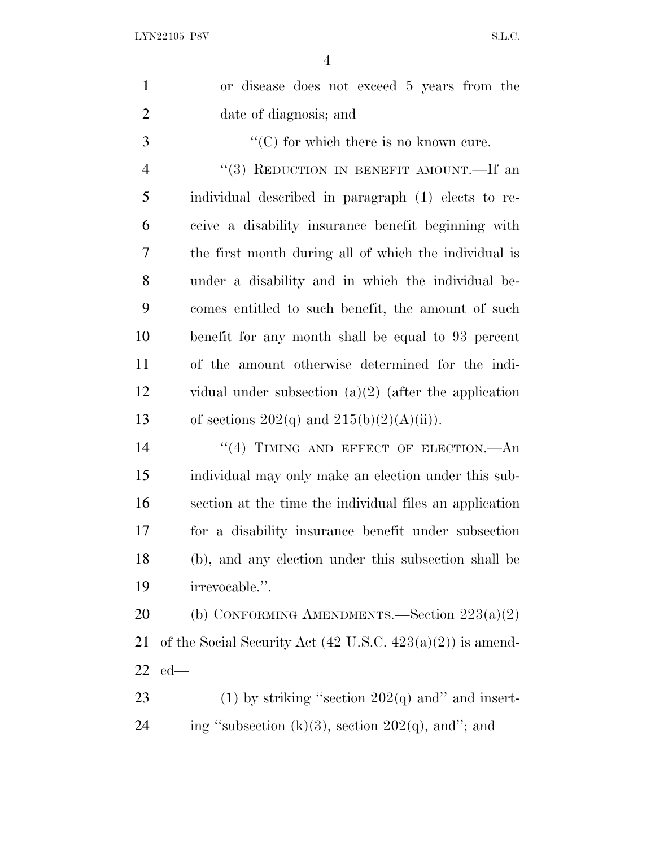| $\mathbf{1}$   | or disease does not exceed 5 years from the                           |
|----------------|-----------------------------------------------------------------------|
| $\overline{2}$ | date of diagnosis; and                                                |
| 3              | $\lq\lq$ (C) for which there is no known cure.                        |
| $\overline{4}$ | "(3) REDUCTION IN BENEFIT AMOUNT.—If an                               |
| 5              | individual described in paragraph (1) elects to re-                   |
| 6              | ceive a disability insurance benefit beginning with                   |
| 7              | the first month during all of which the individual is                 |
| 8              | under a disability and in which the individual be-                    |
| 9              | comes entitled to such benefit, the amount of such                    |
| 10             | benefit for any month shall be equal to 93 percent                    |
| 11             | of the amount otherwise determined for the indi-                      |
| 12             | vidual under subsection $(a)(2)$ (after the application               |
| 13             | of sections $202(q)$ and $215(b)(2)(A)(ii)$ .                         |
| 14             | $``(4)$ TIMING AND EFFECT OF ELECTION.—An                             |
| 15             | individual may only make an election under this sub-                  |
| 16             | section at the time the individual files an application               |
| 17             | for a disability insurance benefit under subsection                   |
| 18             | (b), and any election under this subsection shall be                  |
| 19             | irrevocable.".                                                        |
| 20             | (b) CONFORMING AMENDMENTS.—Section $223(a)(2)$                        |
| 21             | of the Social Security Act $(42 \text{ U.S.C. } 423(a)(2))$ is amend- |
| 22             | $ed$ —                                                                |
| 23             | (1) by striking "section $202(q)$ and" and insert-                    |
| 24             | ing "subsection $(k)(3)$ , section $202(q)$ , and"; and               |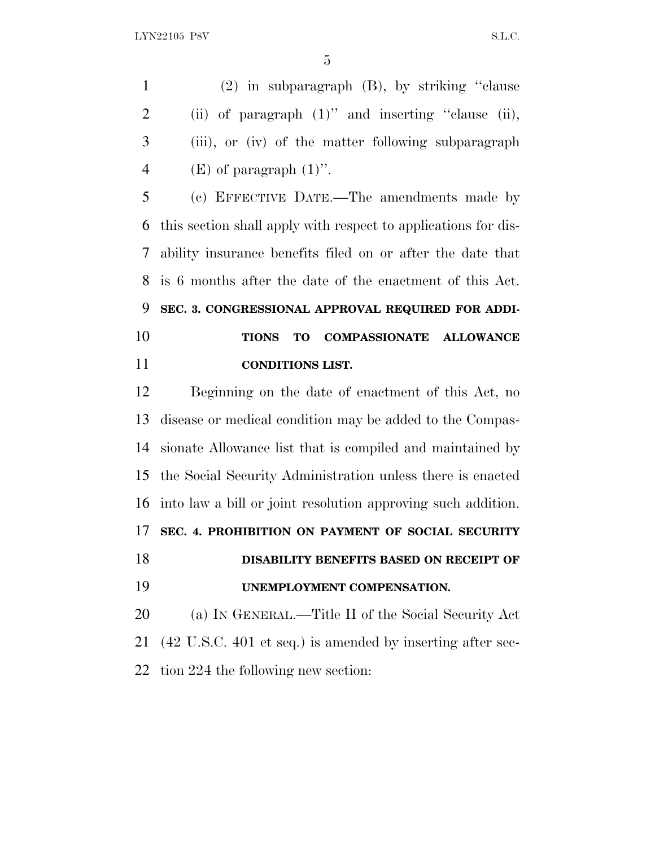(2) in subparagraph (B), by striking ''clause 2 (ii) of paragraph  $(1)$ " and inserting "clause (ii), (iii), or (iv) of the matter following subparagraph 4 (E) of paragraph  $(1)$ ".

 (c) EFFECTIVE DATE.—The amendments made by this section shall apply with respect to applications for dis- ability insurance benefits filed on or after the date that is 6 months after the date of the enactment of this Act. **SEC. 3. CONGRESSIONAL APPROVAL REQUIRED FOR ADDI- TIONS TO COMPASSIONATE ALLOWANCE CONDITIONS LIST.**

 Beginning on the date of enactment of this Act, no disease or medical condition may be added to the Compas- sionate Allowance list that is compiled and maintained by the Social Security Administration unless there is enacted into law a bill or joint resolution approving such addition. **SEC. 4. PROHIBITION ON PAYMENT OF SOCIAL SECURITY DISABILITY BENEFITS BASED ON RECEIPT OF UNEMPLOYMENT COMPENSATION.** (a) I<sup>N</sup> GENERAL.—Title II of the Social Security Act (42 U.S.C. 401 et seq.) is amended by inserting after sec-tion 224 the following new section: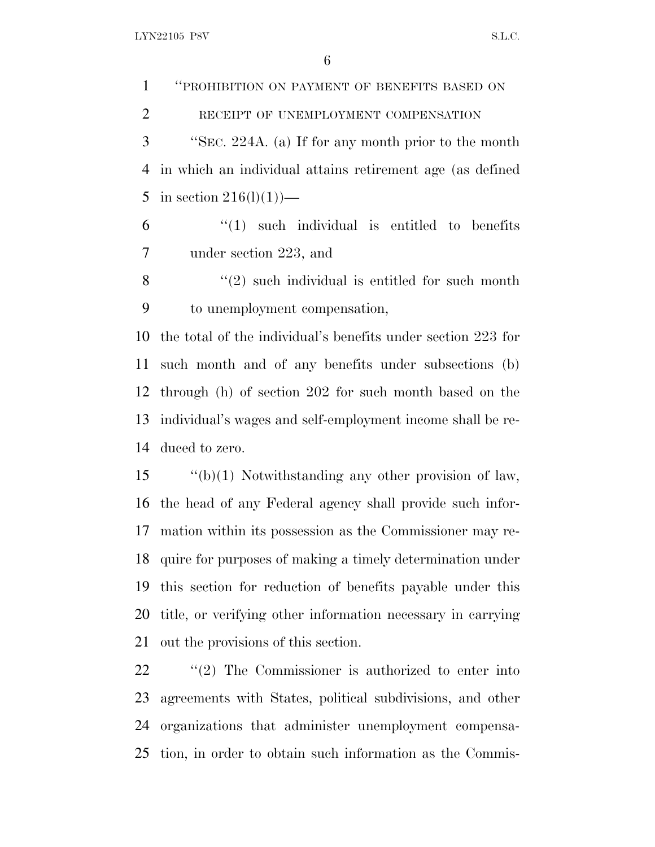LYN22105 P8V S.L.C.

 ''PROHIBITION ON PAYMENT OF BENEFITS BASED ON 2 RECEIPT OF UNEMPLOYMENT COMPENSATION ''SEC. 224A. (a) If for any month prior to the month in which an individual attains retirement age (as defined 5 in section  $216(1)(1)$ — "(1) such individual is entitled to benefits under section 223, and ''(2) such individual is entitled for such month to unemployment compensation, the total of the individual's benefits under section 223 for such month and of any benefits under subsections (b) through (h) of section 202 for such month based on the individual's wages and self-employment income shall be re-duced to zero.

 ''(b)(1) Notwithstanding any other provision of law, the head of any Federal agency shall provide such infor- mation within its possession as the Commissioner may re- quire for purposes of making a timely determination under this section for reduction of benefits payable under this title, or verifying other information necessary in carrying out the provisions of this section.

 ''(2) The Commissioner is authorized to enter into agreements with States, political subdivisions, and other organizations that administer unemployment compensa-tion, in order to obtain such information as the Commis-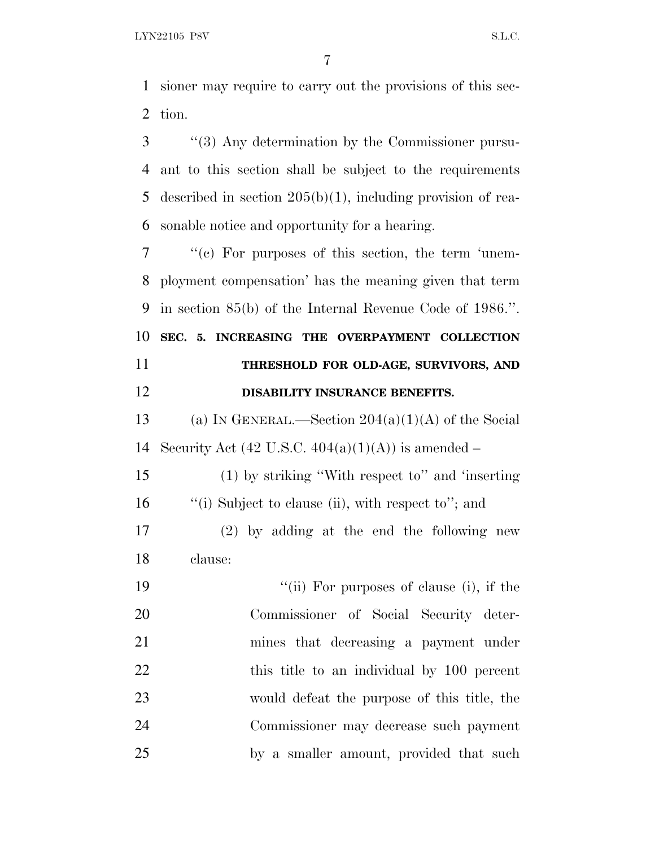sioner may require to carry out the provisions of this sec-tion.

 ''(3) Any determination by the Commissioner pursu- ant to this section shall be subject to the requirements described in section 205(b)(1), including provision of rea-sonable notice and opportunity for a hearing.

 ''(c) For purposes of this section, the term 'unem- ployment compensation' has the meaning given that term in section 85(b) of the Internal Revenue Code of 1986.''. **SEC. 5. INCREASING THE OVERPAYMENT COLLECTION THRESHOLD FOR OLD-AGE, SURVIVORS, AND DISABILITY INSURANCE BENEFITS.**

13 (a) IN GENERAL.—Section  $204(a)(1)(A)$  of the Social 14 Security Act  $(42 \text{ U.S.C. } 404(a)(1)(\text{A}))$  is amended –

 (1) by striking ''With respect to'' and 'inserting ''(i) Subject to clause (ii), with respect to''; and

 (2) by adding at the end the following new clause:

19 ''(ii) For purposes of clause (i), if the Commissioner of Social Security deter- mines that decreasing a payment under 22 this title to an individual by 100 percent would defeat the purpose of this title, the Commissioner may decrease such payment by a smaller amount, provided that such